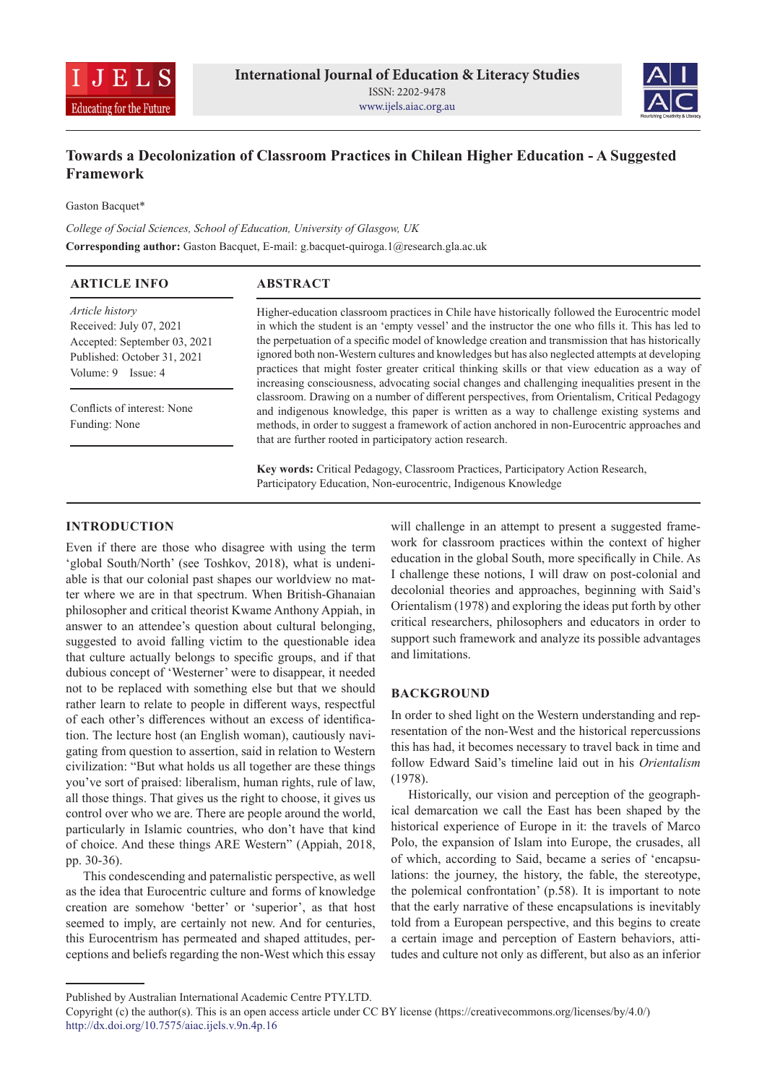



# **Towards a Decolonization of Classroom Practices in Chilean Higher Education - A Suggested Framework**

Gaston Bacquet\*

*College of Social Sciences, School of Education, University of Glasgow, UK* **Corresponding author:** Gaston Bacquet, E-mail: g.bacquet-quiroga.1@research.gla.ac.uk

| <b>ARTICLE INFO</b>                                                                                                             | <b>ABSTRACT</b>                                                                                                                                                                                                                                                                                                                                                                                                                                                                                                                                                                                                   |
|---------------------------------------------------------------------------------------------------------------------------------|-------------------------------------------------------------------------------------------------------------------------------------------------------------------------------------------------------------------------------------------------------------------------------------------------------------------------------------------------------------------------------------------------------------------------------------------------------------------------------------------------------------------------------------------------------------------------------------------------------------------|
| Article history<br>Received: July 07, 2021<br>Accepted: September 03, 2021<br>Published: October 31, 2021<br>Volume: 9 Issue: 4 | Higher-education classroom practices in Chile have historically followed the Eurocentric model<br>in which the student is an 'empty vessel' and the instructor the one who fills it. This has led to<br>the perpetuation of a specific model of knowledge creation and transmission that has historically<br>ignored both non-Western cultures and knowledges but has also neglected attempts at developing<br>practices that might foster greater critical thinking skills or that view education as a way of<br>increasing consciousness, advocating social changes and challenging inequalities present in the |
| Conflicts of interest: None<br>Funding: None                                                                                    | classroom. Drawing on a number of different perspectives, from Orientalism, Critical Pedagogy<br>and indigenous knowledge, this paper is written as a way to challenge existing systems and<br>methods, in order to suggest a framework of action anchored in non-Eurocentric approaches and<br>that are further rooted in participatory action research.                                                                                                                                                                                                                                                         |
|                                                                                                                                 | Key words: Critical Pedagogy, Classroom Practices, Participatory Action Research,                                                                                                                                                                                                                                                                                                                                                                                                                                                                                                                                 |

Participatory Education, Non-eurocentric, Indigenous Knowledge

### **INTRODUCTION**

Even if there are those who disagree with using the term 'global South/North' (see Toshkov, 2018), what is undeniable is that our colonial past shapes our worldview no matter where we are in that spectrum. When British-Ghanaian philosopher and critical theorist Kwame Anthony Appiah, in answer to an attendee's question about cultural belonging, suggested to avoid falling victim to the questionable idea that culture actually belongs to specific groups, and if that dubious concept of 'Westerner' were to disappear, it needed not to be replaced with something else but that we should rather learn to relate to people in different ways, respectful of each other's differences without an excess of identification. The lecture host (an English woman), cautiously navigating from question to assertion, said in relation to Western civilization: "But what holds us all together are these things you've sort of praised: liberalism, human rights, rule of law, all those things. That gives us the right to choose, it gives us control over who we are. There are people around the world, particularly in Islamic countries, who don't have that kind of choice. And these things ARE Western" (Appiah, 2018, pp. 30-36).

This condescending and paternalistic perspective, as well as the idea that Eurocentric culture and forms of knowledge creation are somehow 'better' or 'superior', as that host seemed to imply, are certainly not new. And for centuries, this Eurocentrism has permeated and shaped attitudes, perceptions and beliefs regarding the non-West which this essay

will challenge in an attempt to present a suggested framework for classroom practices within the context of higher education in the global South, more specifically in Chile. As I challenge these notions, I will draw on post-colonial and decolonial theories and approaches, beginning with Said's Orientalism (1978) and exploring the ideas put forth by other critical researchers, philosophers and educators in order to support such framework and analyze its possible advantages and limitations.

### **BACKGROUND**

In order to shed light on the Western understanding and representation of the non-West and the historical repercussions this has had, it becomes necessary to travel back in time and follow Edward Said's timeline laid out in his *Orientalism*  (1978).

Historically, our vision and perception of the geographical demarcation we call the East has been shaped by the historical experience of Europe in it: the travels of Marco Polo, the expansion of Islam into Europe, the crusades, all of which, according to Said, became a series of 'encapsulations: the journey, the history, the fable, the stereotype, the polemical confrontation' (p.58). It is important to note that the early narrative of these encapsulations is inevitably told from a European perspective, and this begins to create a certain image and perception of Eastern behaviors, attitudes and culture not only as different, but also as an inferior

Published by Australian International Academic Centre PTY.LTD.

Copyright (c) the author(s). This is an open access article under CC BY license (https://creativecommons.org/licenses/by/4.0/) http://dx.doi.org/10.7575/aiac.ijels.v.9n.4p.16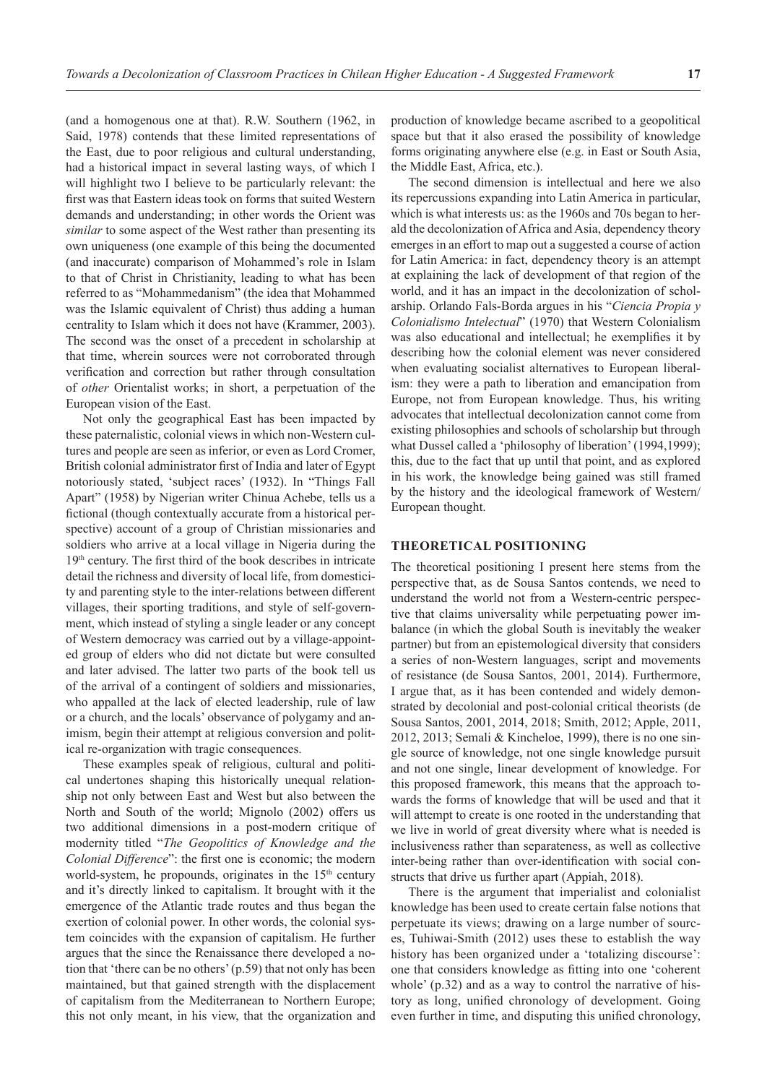(and a homogenous one at that). R.W. Southern (1962, in Said, 1978) contends that these limited representations of the East, due to poor religious and cultural understanding, had a historical impact in several lasting ways, of which I will highlight two I believe to be particularly relevant: the first was that Eastern ideas took on forms that suited Western demands and understanding; in other words the Orient was *similar* to some aspect of the West rather than presenting its own uniqueness (one example of this being the documented (and inaccurate) comparison of Mohammed's role in Islam to that of Christ in Christianity, leading to what has been referred to as "Mohammedanism" (the idea that Mohammed was the Islamic equivalent of Christ) thus adding a human centrality to Islam which it does not have (Krammer, 2003). The second was the onset of a precedent in scholarship at that time, wherein sources were not corroborated through verification and correction but rather through consultation of *other* Orientalist works; in short, a perpetuation of the European vision of the East.

Not only the geographical East has been impacted by these paternalistic, colonial views in which non-Western cultures and people are seen as inferior, or even as Lord Cromer, British colonial administrator first of India and later of Egypt notoriously stated, 'subject races' (1932). In "Things Fall Apart" (1958) by Nigerian writer Chinua Achebe, tells us a fictional (though contextually accurate from a historical perspective) account of a group of Christian missionaries and soldiers who arrive at a local village in Nigeria during the 19th century. The first third of the book describes in intricate detail the richness and diversity of local life, from domesticity and parenting style to the inter-relations between different villages, their sporting traditions, and style of self-government, which instead of styling a single leader or any concept of Western democracy was carried out by a village-appointed group of elders who did not dictate but were consulted and later advised. The latter two parts of the book tell us of the arrival of a contingent of soldiers and missionaries, who appalled at the lack of elected leadership, rule of law or a church, and the locals' observance of polygamy and animism, begin their attempt at religious conversion and political re-organization with tragic consequences.

These examples speak of religious, cultural and political undertones shaping this historically unequal relationship not only between East and West but also between the North and South of the world; Mignolo (2002) offers us two additional dimensions in a post-modern critique of modernity titled "*The Geopolitics of Knowledge and the Colonial Difference*": the first one is economic; the modern world-system, he propounds, originates in the  $15<sup>th</sup>$  century and it's directly linked to capitalism. It brought with it the emergence of the Atlantic trade routes and thus began the exertion of colonial power. In other words, the colonial system coincides with the expansion of capitalism. He further argues that the since the Renaissance there developed a notion that 'there can be no others' (p.59) that not only has been maintained, but that gained strength with the displacement of capitalism from the Mediterranean to Northern Europe; this not only meant, in his view, that the organization and

production of knowledge became ascribed to a geopolitical space but that it also erased the possibility of knowledge forms originating anywhere else (e.g. in East or South Asia, the Middle East, Africa, etc.).

The second dimension is intellectual and here we also its repercussions expanding into Latin America in particular, which is what interests us: as the 1960s and 70s began to herald the decolonization of Africa and Asia, dependency theory emerges in an effort to map out a suggested a course of action for Latin America: in fact, dependency theory is an attempt at explaining the lack of development of that region of the world, and it has an impact in the decolonization of scholarship. Orlando Fals-Borda argues in his "*Ciencia Propia y Colonialismo Intelectual*" (1970) that Western Colonialism was also educational and intellectual; he exemplifies it by describing how the colonial element was never considered when evaluating socialist alternatives to European liberalism: they were a path to liberation and emancipation from Europe, not from European knowledge. Thus, his writing advocates that intellectual decolonization cannot come from existing philosophies and schools of scholarship but through what Dussel called a 'philosophy of liberation' (1994,1999); this, due to the fact that up until that point, and as explored in his work, the knowledge being gained was still framed by the history and the ideological framework of Western/ European thought.

## **THEORETICAL POSITIONING**

The theoretical positioning I present here stems from the perspective that, as de Sousa Santos contends, we need to understand the world not from a Western-centric perspective that claims universality while perpetuating power imbalance (in which the global South is inevitably the weaker partner) but from an epistemological diversity that considers a series of non-Western languages, script and movements of resistance (de Sousa Santos, 2001, 2014). Furthermore, I argue that, as it has been contended and widely demonstrated by decolonial and post-colonial critical theorists (de Sousa Santos, 2001, 2014, 2018; Smith, 2012; Apple, 2011, 2012, 2013; Semali & Kincheloe, 1999), there is no one single source of knowledge, not one single knowledge pursuit and not one single, linear development of knowledge. For this proposed framework, this means that the approach towards the forms of knowledge that will be used and that it will attempt to create is one rooted in the understanding that we live in world of great diversity where what is needed is inclusiveness rather than separateness, as well as collective inter-being rather than over-identification with social constructs that drive us further apart (Appiah, 2018).

There is the argument that imperialist and colonialist knowledge has been used to create certain false notions that perpetuate its views; drawing on a large number of sources, Tuhiwai-Smith (2012) uses these to establish the way history has been organized under a 'totalizing discourse': one that considers knowledge as fitting into one 'coherent whole' (p.32) and as a way to control the narrative of history as long, unified chronology of development. Going even further in time, and disputing this unified chronology,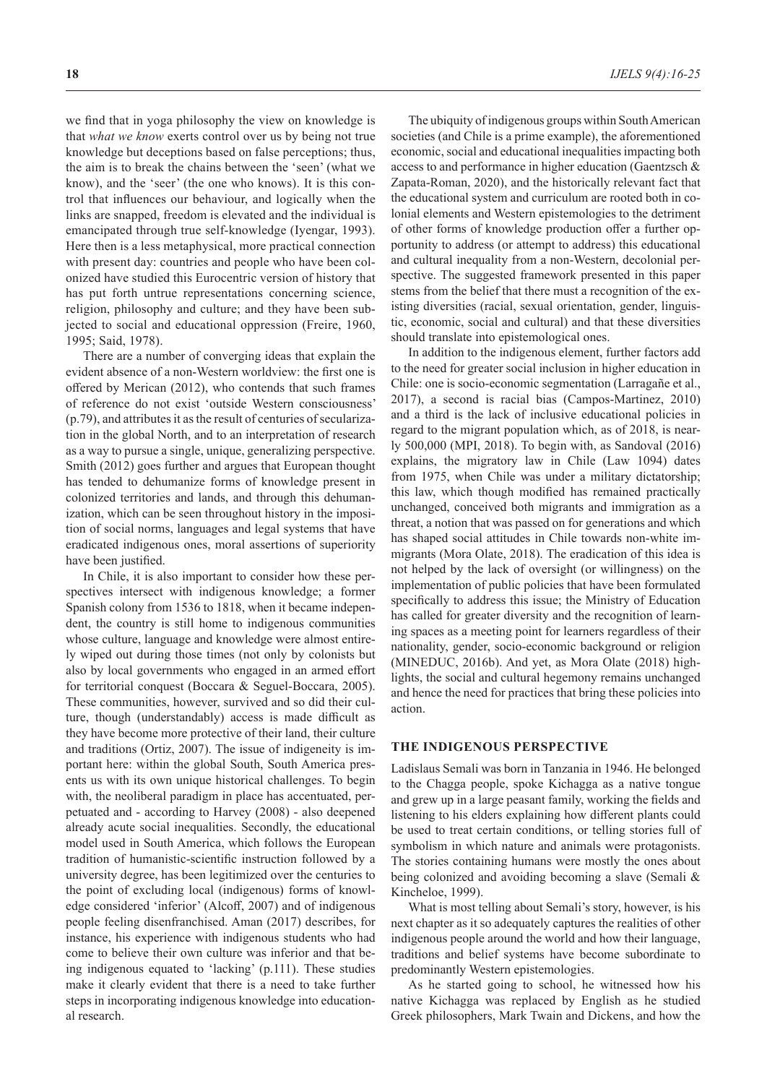we find that in yoga philosophy the view on knowledge is that *what we know* exerts control over us by being not true knowledge but deceptions based on false perceptions; thus, the aim is to break the chains between the 'seen' (what we know), and the 'seer' (the one who knows). It is this control that influences our behaviour, and logically when the links are snapped, freedom is elevated and the individual is emancipated through true self-knowledge (Iyengar, 1993). Here then is a less metaphysical, more practical connection with present day: countries and people who have been colonized have studied this Eurocentric version of history that has put forth untrue representations concerning science, religion, philosophy and culture; and they have been subjected to social and educational oppression (Freire, 1960, 1995; Said, 1978).

There are a number of converging ideas that explain the evident absence of a non-Western worldview: the first one is offered by Merican (2012), who contends that such frames of reference do not exist 'outside Western consciousness' (p.79), and attributes it as the result of centuries of secularization in the global North, and to an interpretation of research as a way to pursue a single, unique, generalizing perspective. Smith (2012) goes further and argues that European thought has tended to dehumanize forms of knowledge present in colonized territories and lands, and through this dehumanization, which can be seen throughout history in the imposition of social norms, languages and legal systems that have eradicated indigenous ones, moral assertions of superiority have been justified.

In Chile, it is also important to consider how these perspectives intersect with indigenous knowledge; a former Spanish colony from 1536 to 1818, when it became independent, the country is still home to indigenous communities whose culture, language and knowledge were almost entirely wiped out during those times (not only by colonists but also by local governments who engaged in an armed effort for territorial conquest (Boccara & Seguel-Boccara, 2005). These communities, however, survived and so did their culture, though (understandably) access is made difficult as they have become more protective of their land, their culture and traditions (Ortiz, 2007). The issue of indigeneity is important here: within the global South, South America presents us with its own unique historical challenges. To begin with, the neoliberal paradigm in place has accentuated, perpetuated and - according to Harvey (2008) - also deepened already acute social inequalities. Secondly, the educational model used in South America, which follows the European tradition of humanistic-scientific instruction followed by a university degree, has been legitimized over the centuries to the point of excluding local (indigenous) forms of knowledge considered 'inferior' (Alcoff, 2007) and of indigenous people feeling disenfranchised. Aman (2017) describes, for instance, his experience with indigenous students who had come to believe their own culture was inferior and that being indigenous equated to 'lacking' (p.111). These studies make it clearly evident that there is a need to take further steps in incorporating indigenous knowledge into educational research.

**18** *IJELS 9(4):16-25*

The ubiquity of indigenous groups within South American societies (and Chile is a prime example), the aforementioned economic, social and educational inequalities impacting both access to and performance in higher education (Gaentzsch & Zapata-Roman, 2020), and the historically relevant fact that the educational system and curriculum are rooted both in colonial elements and Western epistemologies to the detriment of other forms of knowledge production offer a further opportunity to address (or attempt to address) this educational and cultural inequality from a non-Western, decolonial perspective. The suggested framework presented in this paper stems from the belief that there must a recognition of the existing diversities (racial, sexual orientation, gender, linguistic, economic, social and cultural) and that these diversities should translate into epistemological ones.

In addition to the indigenous element, further factors add to the need for greater social inclusion in higher education in Chile: one is socio-economic segmentation (Larragañe et al., 2017), a second is racial bias (Campos-Martinez, 2010) and a third is the lack of inclusive educational policies in regard to the migrant population which, as of 2018, is nearly 500,000 (MPI, 2018). To begin with, as Sandoval (2016) explains, the migratory law in Chile (Law 1094) dates from 1975, when Chile was under a military dictatorship; this law, which though modified has remained practically unchanged, conceived both migrants and immigration as a threat, a notion that was passed on for generations and which has shaped social attitudes in Chile towards non-white immigrants (Mora Olate, 2018). The eradication of this idea is not helped by the lack of oversight (or willingness) on the implementation of public policies that have been formulated specifically to address this issue; the Ministry of Education has called for greater diversity and the recognition of learning spaces as a meeting point for learners regardless of their nationality, gender, socio-economic background or religion (MINEDUC, 2016b). And yet, as Mora Olate (2018) highlights, the social and cultural hegemony remains unchanged and hence the need for practices that bring these policies into action.

#### **THE INDIGENOUS PERSPECTIVE**

Ladislaus Semali was born in Tanzania in 1946. He belonged to the Chagga people, spoke Kichagga as a native tongue and grew up in a large peasant family, working the fields and listening to his elders explaining how different plants could be used to treat certain conditions, or telling stories full of symbolism in which nature and animals were protagonists. The stories containing humans were mostly the ones about being colonized and avoiding becoming a slave (Semali & Kincheloe, 1999).

What is most telling about Semali's story, however, is his next chapter as it so adequately captures the realities of other indigenous people around the world and how their language, traditions and belief systems have become subordinate to predominantly Western epistemologies.

As he started going to school, he witnessed how his native Kichagga was replaced by English as he studied Greek philosophers, Mark Twain and Dickens, and how the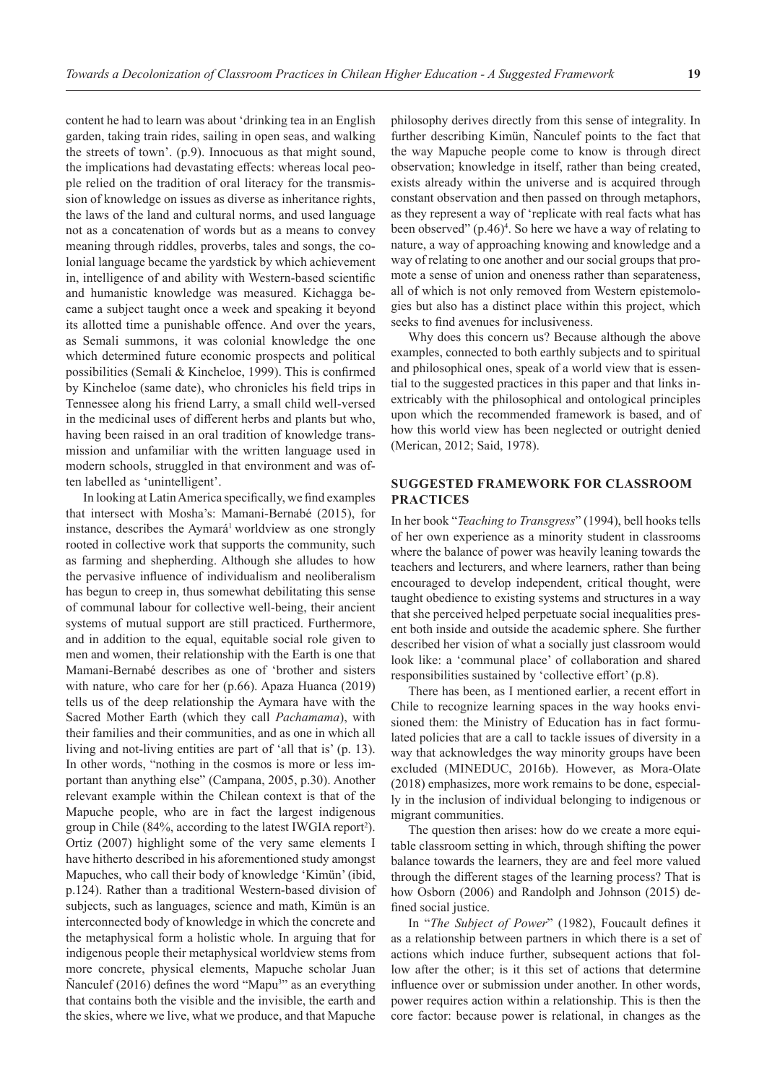content he had to learn was about 'drinking tea in an English garden, taking train rides, sailing in open seas, and walking the streets of town'. (p.9). Innocuous as that might sound, the implications had devastating effects: whereas local people relied on the tradition of oral literacy for the transmission of knowledge on issues as diverse as inheritance rights, the laws of the land and cultural norms, and used language not as a concatenation of words but as a means to convey meaning through riddles, proverbs, tales and songs, the colonial language became the yardstick by which achievement in, intelligence of and ability with Western-based scientific and humanistic knowledge was measured. Kichagga became a subject taught once a week and speaking it beyond its allotted time a punishable offence. And over the years, as Semali summons, it was colonial knowledge the one which determined future economic prospects and political possibilities (Semali & Kincheloe, 1999). This is confirmed by Kincheloe (same date), who chronicles his field trips in Tennessee along his friend Larry, a small child well-versed in the medicinal uses of different herbs and plants but who, having been raised in an oral tradition of knowledge transmission and unfamiliar with the written language used in modern schools, struggled in that environment and was often labelled as 'unintelligent'.

In looking at Latin America specifically, we find examples that intersect with Mosha's: Mamani-Bernabé (2015), for instance, describes the Aymará<sup>1</sup> worldview as one strongly rooted in collective work that supports the community, such as farming and shepherding. Although she alludes to how the pervasive influence of individualism and neoliberalism has begun to creep in, thus somewhat debilitating this sense of communal labour for collective well-being, their ancient systems of mutual support are still practiced. Furthermore, and in addition to the equal, equitable social role given to men and women, their relationship with the Earth is one that Mamani-Bernabé describes as one of 'brother and sisters with nature, who care for her (p.66). Apaza Huanca (2019) tells us of the deep relationship the Aymara have with the Sacred Mother Earth (which they call *Pachamama*), with their families and their communities, and as one in which all living and not-living entities are part of 'all that is' (p. 13). In other words, "nothing in the cosmos is more or less important than anything else" (Campana, 2005, p.30). Another relevant example within the Chilean context is that of the Mapuche people, who are in fact the largest indigenous group in Chile (84%, according to the latest IWGIA report<sup>2</sup>). Ortiz (2007) highlight some of the very same elements I have hitherto described in his aforementioned study amongst Mapuches, who call their body of knowledge 'Kimün' (ibid, p.124). Rather than a traditional Western-based division of subjects, such as languages, science and math, Kimün is an interconnected body of knowledge in which the concrete and the metaphysical form a holistic whole. In arguing that for indigenous people their metaphysical worldview stems from more concrete, physical elements, Mapuche scholar Juan Nanculef (2016) defines the word "Mapu<sup>3</sup>" as an everything that contains both the visible and the invisible, the earth and the skies, where we live, what we produce, and that Mapuche

philosophy derives directly from this sense of integrality. In further describing Kimün, Ñanculef points to the fact that the way Mapuche people come to know is through direct observation; knowledge in itself, rather than being created, exists already within the universe and is acquired through constant observation and then passed on through metaphors, as they represent a way of 'replicate with real facts what has been observed" (p.46)<sup>4</sup>. So here we have a way of relating to nature, a way of approaching knowing and knowledge and a way of relating to one another and our social groups that promote a sense of union and oneness rather than separateness, all of which is not only removed from Western epistemologies but also has a distinct place within this project, which seeks to find avenues for inclusiveness.

Why does this concern us? Because although the above examples, connected to both earthly subjects and to spiritual and philosophical ones, speak of a world view that is essential to the suggested practices in this paper and that links inextricably with the philosophical and ontological principles upon which the recommended framework is based, and of how this world view has been neglected or outright denied (Merican, 2012; Said, 1978).

### **SUGGESTED FRAMEWORK FOR CLASSROOM PRACTICES**

In her book "*Teaching to Transgress*" (1994), bell hooks tells of her own experience as a minority student in classrooms where the balance of power was heavily leaning towards the teachers and lecturers, and where learners, rather than being encouraged to develop independent, critical thought, were taught obedience to existing systems and structures in a way that she perceived helped perpetuate social inequalities present both inside and outside the academic sphere. She further described her vision of what a socially just classroom would look like: a 'communal place' of collaboration and shared responsibilities sustained by 'collective effort' (p.8).

There has been, as I mentioned earlier, a recent effort in Chile to recognize learning spaces in the way hooks envisioned them: the Ministry of Education has in fact formulated policies that are a call to tackle issues of diversity in a way that acknowledges the way minority groups have been excluded (MINEDUC, 2016b). However, as Mora-Olate (2018) emphasizes, more work remains to be done, especially in the inclusion of individual belonging to indigenous or migrant communities.

The question then arises: how do we create a more equitable classroom setting in which, through shifting the power balance towards the learners, they are and feel more valued through the different stages of the learning process? That is how Osborn (2006) and Randolph and Johnson (2015) defined social justice.

In "*The Subject of Power*" (1982), Foucault defines it as a relationship between partners in which there is a set of actions which induce further, subsequent actions that follow after the other; is it this set of actions that determine influence over or submission under another. In other words, power requires action within a relationship. This is then the core factor: because power is relational, in changes as the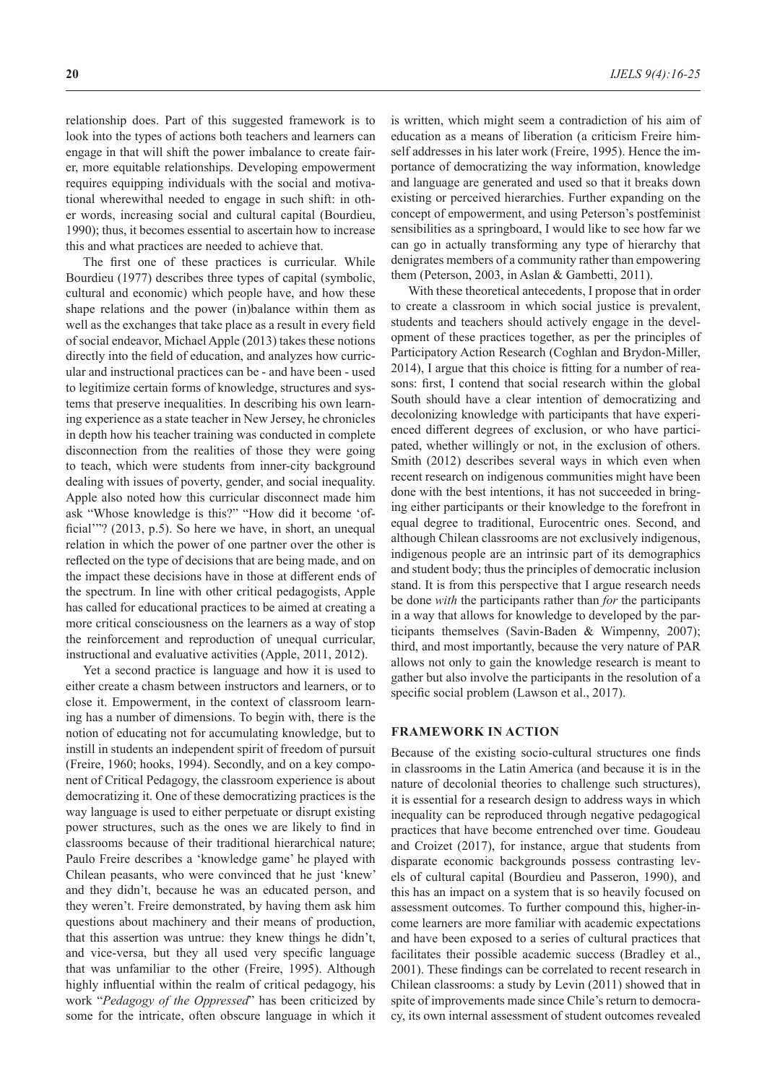relationship does. Part of this suggested framework is to look into the types of actions both teachers and learners can engage in that will shift the power imbalance to create fairer, more equitable relationships. Developing empowerment requires equipping individuals with the social and motivational wherewithal needed to engage in such shift: in other words, increasing social and cultural capital (Bourdieu, 1990); thus, it becomes essential to ascertain how to increase this and what practices are needed to achieve that.

The first one of these practices is curricular. While Bourdieu (1977) describes three types of capital (symbolic, cultural and economic) which people have, and how these shape relations and the power (in)balance within them as well as the exchanges that take place as a result in every field of social endeavor, Michael Apple (2013) takes these notions directly into the field of education, and analyzes how curricular and instructional practices can be - and have been - used to legitimize certain forms of knowledge, structures and systems that preserve inequalities. In describing his own learning experience as a state teacher in New Jersey, he chronicles in depth how his teacher training was conducted in complete disconnection from the realities of those they were going to teach, which were students from inner-city background dealing with issues of poverty, gender, and social inequality. Apple also noted how this curricular disconnect made him ask "Whose knowledge is this?" "How did it become 'official'"? (2013, p.5). So here we have, in short, an unequal relation in which the power of one partner over the other is reflected on the type of decisions that are being made, and on the impact these decisions have in those at different ends of the spectrum. In line with other critical pedagogists, Apple has called for educational practices to be aimed at creating a more critical consciousness on the learners as a way of stop the reinforcement and reproduction of unequal curricular, instructional and evaluative activities (Apple, 2011, 2012).

Yet a second practice is language and how it is used to either create a chasm between instructors and learners, or to close it. Empowerment, in the context of classroom learning has a number of dimensions. To begin with, there is the notion of educating not for accumulating knowledge, but to instill in students an independent spirit of freedom of pursuit (Freire, 1960; hooks, 1994). Secondly, and on a key component of Critical Pedagogy, the classroom experience is about democratizing it. One of these democratizing practices is the way language is used to either perpetuate or disrupt existing power structures, such as the ones we are likely to find in classrooms because of their traditional hierarchical nature; Paulo Freire describes a 'knowledge game' he played with Chilean peasants, who were convinced that he just 'knew' and they didn't, because he was an educated person, and they weren't. Freire demonstrated, by having them ask him questions about machinery and their means of production, that this assertion was untrue: they knew things he didn't, and vice-versa, but they all used very specific language that was unfamiliar to the other (Freire, 1995). Although highly influential within the realm of critical pedagogy, his work "*Pedagogy of the Oppressed*" has been criticized by some for the intricate, often obscure language in which it is written, which might seem a contradiction of his aim of education as a means of liberation (a criticism Freire himself addresses in his later work (Freire, 1995). Hence the importance of democratizing the way information, knowledge and language are generated and used so that it breaks down existing or perceived hierarchies. Further expanding on the concept of empowerment, and using Peterson's postfeminist sensibilities as a springboard, I would like to see how far we can go in actually transforming any type of hierarchy that denigrates members of a community rather than empowering them (Peterson, 2003, in Aslan & Gambetti, 2011).

With these theoretical antecedents, I propose that in order to create a classroom in which social justice is prevalent, students and teachers should actively engage in the development of these practices together, as per the principles of Participatory Action Research (Coghlan and Brydon-Miller, 2014), I argue that this choice is fitting for a number of reasons: first, I contend that social research within the global South should have a clear intention of democratizing and decolonizing knowledge with participants that have experienced different degrees of exclusion, or who have participated, whether willingly or not, in the exclusion of others. Smith (2012) describes several ways in which even when recent research on indigenous communities might have been done with the best intentions, it has not succeeded in bringing either participants or their knowledge to the forefront in equal degree to traditional, Eurocentric ones. Second, and although Chilean classrooms are not exclusively indigenous, indigenous people are an intrinsic part of its demographics and student body; thus the principles of democratic inclusion stand. It is from this perspective that I argue research needs be done *with* the participants rather than *for* the participants in a way that allows for knowledge to developed by the participants themselves (Savin-Baden & Wimpenny, 2007); third, and most importantly, because the very nature of PAR allows not only to gain the knowledge research is meant to gather but also involve the participants in the resolution of a specific social problem (Lawson et al., 2017).

### **FRAMEWORK IN ACTION**

Because of the existing socio-cultural structures one finds in classrooms in the Latin America (and because it is in the nature of decolonial theories to challenge such structures), it is essential for a research design to address ways in which inequality can be reproduced through negative pedagogical practices that have become entrenched over time. Goudeau and Croizet (2017), for instance, argue that students from disparate economic backgrounds possess contrasting levels of cultural capital (Bourdieu and Passeron, 1990), and this has an impact on a system that is so heavily focused on assessment outcomes. To further compound this, higher-income learners are more familiar with academic expectations and have been exposed to a series of cultural practices that facilitates their possible academic success (Bradley et al., 2001). These findings can be correlated to recent research in Chilean classrooms: a study by Levin (2011) showed that in spite of improvements made since Chile's return to democracy, its own internal assessment of student outcomes revealed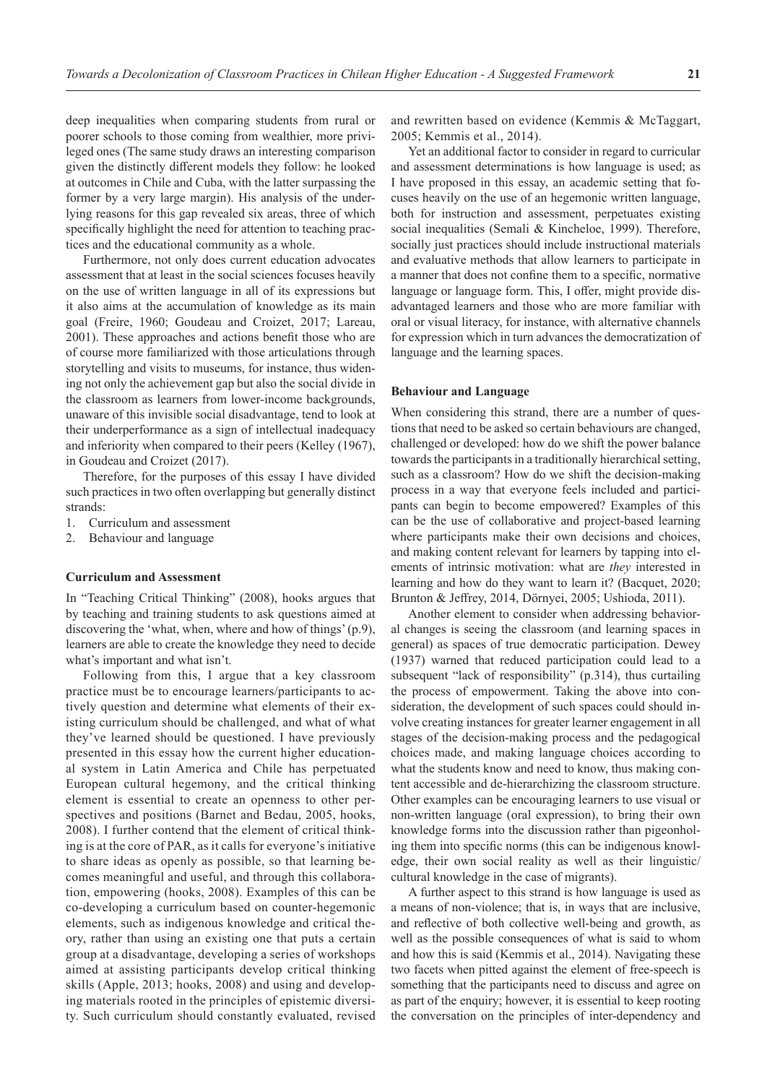deep inequalities when comparing students from rural or poorer schools to those coming from wealthier, more privileged ones (The same study draws an interesting comparison given the distinctly different models they follow: he looked at outcomes in Chile and Cuba, with the latter surpassing the former by a very large margin). His analysis of the underlying reasons for this gap revealed six areas, three of which specifically highlight the need for attention to teaching practices and the educational community as a whole.

Furthermore, not only does current education advocates assessment that at least in the social sciences focuses heavily on the use of written language in all of its expressions but it also aims at the accumulation of knowledge as its main goal (Freire, 1960; Goudeau and Croizet, 2017; Lareau, 2001). These approaches and actions benefit those who are of course more familiarized with those articulations through storytelling and visits to museums, for instance, thus widening not only the achievement gap but also the social divide in the classroom as learners from lower-income backgrounds, unaware of this invisible social disadvantage, tend to look at their underperformance as a sign of intellectual inadequacy and inferiority when compared to their peers (Kelley (1967), in Goudeau and Croizet (2017).

Therefore, for the purposes of this essay I have divided such practices in two often overlapping but generally distinct strands:

- 1. Curriculum and assessment
- 2. Behaviour and language

#### **Curriculum and Assessment**

In "Teaching Critical Thinking" (2008), hooks argues that by teaching and training students to ask questions aimed at discovering the 'what, when, where and how of things' (p.9), learners are able to create the knowledge they need to decide what's important and what isn't.

Following from this, I argue that a key classroom practice must be to encourage learners/participants to actively question and determine what elements of their existing curriculum should be challenged, and what of what they've learned should be questioned. I have previously presented in this essay how the current higher educational system in Latin America and Chile has perpetuated European cultural hegemony, and the critical thinking element is essential to create an openness to other perspectives and positions (Barnet and Bedau, 2005, hooks, 2008). I further contend that the element of critical thinking is at the core of PAR, as it calls for everyone's initiative to share ideas as openly as possible, so that learning becomes meaningful and useful, and through this collaboration, empowering (hooks, 2008). Examples of this can be co-developing a curriculum based on counter-hegemonic elements, such as indigenous knowledge and critical theory, rather than using an existing one that puts a certain group at a disadvantage, developing a series of workshops aimed at assisting participants develop critical thinking skills (Apple, 2013; hooks, 2008) and using and developing materials rooted in the principles of epistemic diversity. Such curriculum should constantly evaluated, revised and rewritten based on evidence (Kemmis & McTaggart, 2005; Kemmis et al., 2014).

Yet an additional factor to consider in regard to curricular and assessment determinations is how language is used; as I have proposed in this essay, an academic setting that focuses heavily on the use of an hegemonic written language, both for instruction and assessment, perpetuates existing social inequalities (Semali & Kincheloe, 1999). Therefore, socially just practices should include instructional materials and evaluative methods that allow learners to participate in a manner that does not confine them to a specific, normative language or language form. This, I offer, might provide disadvantaged learners and those who are more familiar with oral or visual literacy, for instance, with alternative channels for expression which in turn advances the democratization of language and the learning spaces.

### **Behaviour and Language**

When considering this strand, there are a number of questions that need to be asked so certain behaviours are changed, challenged or developed: how do we shift the power balance towards the participants in a traditionally hierarchical setting, such as a classroom? How do we shift the decision-making process in a way that everyone feels included and participants can begin to become empowered? Examples of this can be the use of collaborative and project-based learning where participants make their own decisions and choices, and making content relevant for learners by tapping into elements of intrinsic motivation: what are *they* interested in learning and how do they want to learn it? (Bacquet, 2020; Brunton & Jeffrey, 2014, Dörnyei, 2005; Ushioda, 2011).

Another element to consider when addressing behavioral changes is seeing the classroom (and learning spaces in general) as spaces of true democratic participation. Dewey (1937) warned that reduced participation could lead to a subsequent "lack of responsibility" (p.314), thus curtailing the process of empowerment. Taking the above into consideration, the development of such spaces could should involve creating instances for greater learner engagement in all stages of the decision-making process and the pedagogical choices made, and making language choices according to what the students know and need to know, thus making content accessible and de-hierarchizing the classroom structure. Other examples can be encouraging learners to use visual or non-written language (oral expression), to bring their own knowledge forms into the discussion rather than pigeonholing them into specific norms (this can be indigenous knowledge, their own social reality as well as their linguistic/ cultural knowledge in the case of migrants).

A further aspect to this strand is how language is used as a means of non-violence; that is, in ways that are inclusive, and reflective of both collective well-being and growth, as well as the possible consequences of what is said to whom and how this is said (Kemmis et al., 2014). Navigating these two facets when pitted against the element of free-speech is something that the participants need to discuss and agree on as part of the enquiry; however, it is essential to keep rooting the conversation on the principles of inter-dependency and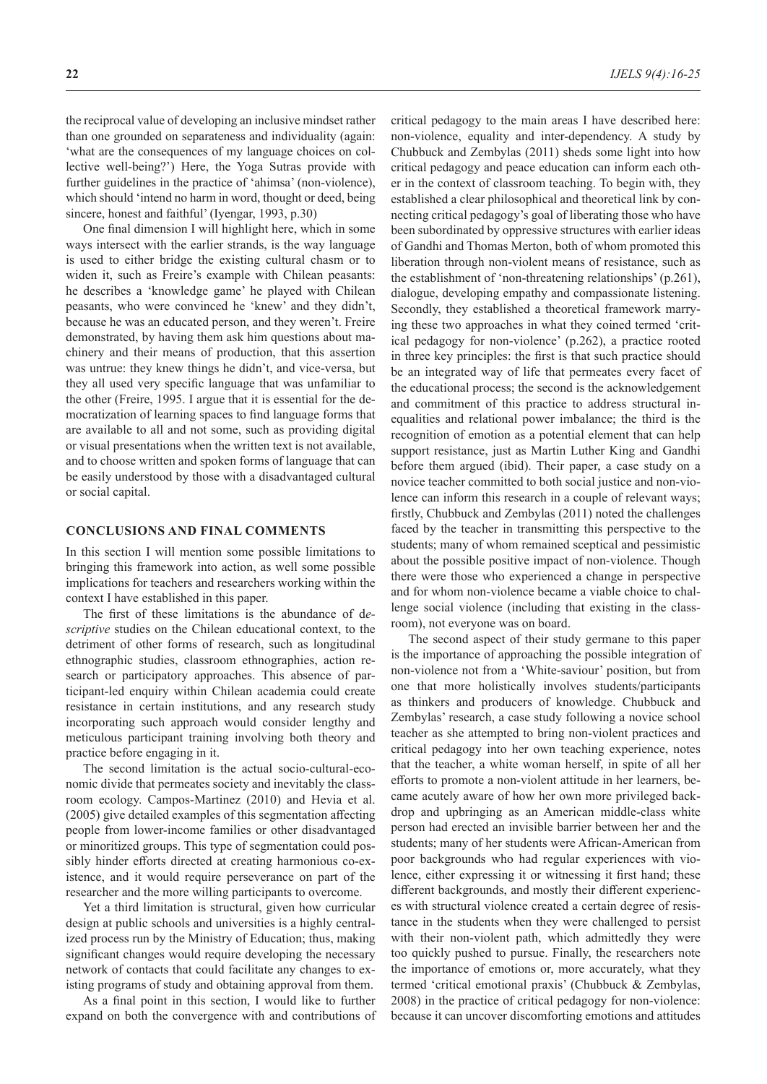the reciprocal value of developing an inclusive mindset rather than one grounded on separateness and individuality (again: 'what are the consequences of my language choices on collective well-being?') Here, the Yoga Sutras provide with further guidelines in the practice of 'ahimsa' (non-violence), which should 'intend no harm in word, thought or deed, being sincere, honest and faithful' (Iyengar, 1993, p.30)

One final dimension I will highlight here, which in some ways intersect with the earlier strands, is the way language is used to either bridge the existing cultural chasm or to widen it, such as Freire's example with Chilean peasants: he describes a 'knowledge game' he played with Chilean peasants, who were convinced he 'knew' and they didn't, because he was an educated person, and they weren't. Freire demonstrated, by having them ask him questions about machinery and their means of production, that this assertion was untrue: they knew things he didn't, and vice-versa, but they all used very specific language that was unfamiliar to the other (Freire, 1995. I argue that it is essential for the democratization of learning spaces to find language forms that are available to all and not some, such as providing digital or visual presentations when the written text is not available, and to choose written and spoken forms of language that can be easily understood by those with a disadvantaged cultural or social capital.

#### **CONCLUSIONS AND FINAL COMMENTS**

In this section I will mention some possible limitations to bringing this framework into action, as well some possible implications for teachers and researchers working within the context I have established in this paper.

The first of these limitations is the abundance of d*escriptive* studies on the Chilean educational context, to the detriment of other forms of research, such as longitudinal ethnographic studies, classroom ethnographies, action research or participatory approaches. This absence of participant-led enquiry within Chilean academia could create resistance in certain institutions, and any research study incorporating such approach would consider lengthy and meticulous participant training involving both theory and practice before engaging in it.

The second limitation is the actual socio-cultural-economic divide that permeates society and inevitably the classroom ecology. Campos-Martinez (2010) and Hevia et al. (2005) give detailed examples of this segmentation affecting people from lower-income families or other disadvantaged or minoritized groups. This type of segmentation could possibly hinder efforts directed at creating harmonious co-existence, and it would require perseverance on part of the researcher and the more willing participants to overcome.

Yet a third limitation is structural, given how curricular design at public schools and universities is a highly centralized process run by the Ministry of Education; thus, making significant changes would require developing the necessary network of contacts that could facilitate any changes to existing programs of study and obtaining approval from them.

As a final point in this section, I would like to further expand on both the convergence with and contributions of critical pedagogy to the main areas I have described here: non-violence, equality and inter-dependency. A study by Chubbuck and Zembylas (2011) sheds some light into how critical pedagogy and peace education can inform each other in the context of classroom teaching. To begin with, they established a clear philosophical and theoretical link by connecting critical pedagogy's goal of liberating those who have been subordinated by oppressive structures with earlier ideas of Gandhi and Thomas Merton, both of whom promoted this liberation through non-violent means of resistance, such as the establishment of 'non-threatening relationships' (p.261), dialogue, developing empathy and compassionate listening. Secondly, they established a theoretical framework marrying these two approaches in what they coined termed 'critical pedagogy for non-violence' (p.262), a practice rooted in three key principles: the first is that such practice should be an integrated way of life that permeates every facet of the educational process; the second is the acknowledgement and commitment of this practice to address structural inequalities and relational power imbalance; the third is the recognition of emotion as a potential element that can help support resistance, just as Martin Luther King and Gandhi before them argued (ibid). Their paper, a case study on a novice teacher committed to both social justice and non-violence can inform this research in a couple of relevant ways; firstly, Chubbuck and Zembylas (2011) noted the challenges faced by the teacher in transmitting this perspective to the students; many of whom remained sceptical and pessimistic about the possible positive impact of non-violence. Though there were those who experienced a change in perspective and for whom non-violence became a viable choice to challenge social violence (including that existing in the classroom), not everyone was on board.

The second aspect of their study germane to this paper is the importance of approaching the possible integration of non-violence not from a 'White-saviour' position, but from one that more holistically involves students/participants as thinkers and producers of knowledge. Chubbuck and Zembylas' research, a case study following a novice school teacher as she attempted to bring non-violent practices and critical pedagogy into her own teaching experience, notes that the teacher, a white woman herself, in spite of all her efforts to promote a non-violent attitude in her learners, became acutely aware of how her own more privileged backdrop and upbringing as an American middle-class white person had erected an invisible barrier between her and the students; many of her students were African-American from poor backgrounds who had regular experiences with violence, either expressing it or witnessing it first hand; these different backgrounds, and mostly their different experiences with structural violence created a certain degree of resistance in the students when they were challenged to persist with their non-violent path, which admittedly they were too quickly pushed to pursue. Finally, the researchers note the importance of emotions or, more accurately, what they termed 'critical emotional praxis' (Chubbuck & Zembylas, 2008) in the practice of critical pedagogy for non-violence: because it can uncover discomforting emotions and attitudes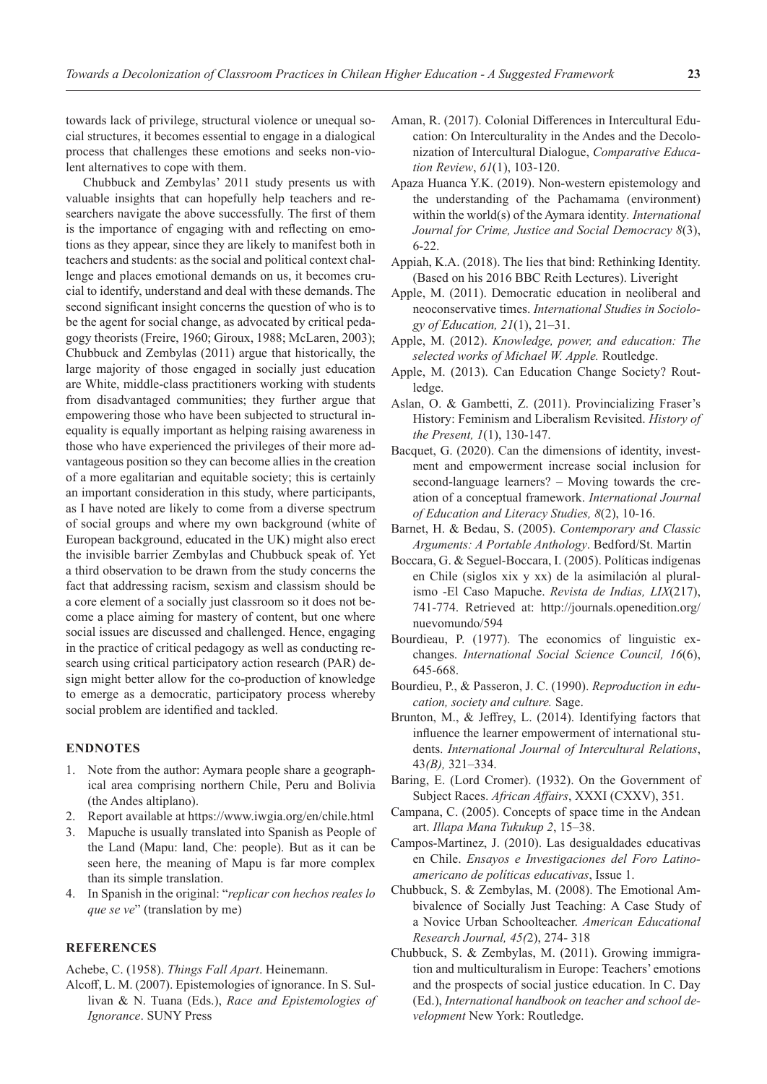towards lack of privilege, structural violence or unequal social structures, it becomes essential to engage in a dialogical process that challenges these emotions and seeks non-violent alternatives to cope with them.

Chubbuck and Zembylas' 2011 study presents us with valuable insights that can hopefully help teachers and researchers navigate the above successfully. The first of them is the importance of engaging with and reflecting on emotions as they appear, since they are likely to manifest both in teachers and students: as the social and political context challenge and places emotional demands on us, it becomes crucial to identify, understand and deal with these demands. The second significant insight concerns the question of who is to be the agent for social change, as advocated by critical pedagogy theorists (Freire, 1960; Giroux, 1988; McLaren, 2003); Chubbuck and Zembylas (2011) argue that historically, the large majority of those engaged in socially just education are White, middle-class practitioners working with students from disadvantaged communities; they further argue that empowering those who have been subjected to structural inequality is equally important as helping raising awareness in those who have experienced the privileges of their more advantageous position so they can become allies in the creation of a more egalitarian and equitable society; this is certainly an important consideration in this study, where participants, as I have noted are likely to come from a diverse spectrum of social groups and where my own background (white of European background, educated in the UK) might also erect the invisible barrier Zembylas and Chubbuck speak of. Yet a third observation to be drawn from the study concerns the fact that addressing racism, sexism and classism should be a core element of a socially just classroom so it does not become a place aiming for mastery of content, but one where social issues are discussed and challenged. Hence, engaging in the practice of critical pedagogy as well as conducting research using critical participatory action research (PAR) design might better allow for the co-production of knowledge to emerge as a democratic, participatory process whereby social problem are identified and tackled.

### **ENDNOTES**

- 1. Note from the author: Aymara people share a geographical area comprising northern Chile, Peru and Bolivia (the Andes altiplano).
- 2. Report available at https://www.iwgia.org/en/chile.html
- 3. Mapuche is usually translated into Spanish as People of the Land (Mapu: land, Che: people). But as it can be seen here, the meaning of Mapu is far more complex than its simple translation.
- 4. In Spanish in the original: "*replicar con hechos reales lo que se ve*" (translation by me)

#### **REFERENCES**

Achebe, C. (1958). *Things Fall Apart*. Heinemann.

Alcoff, L. M. (2007). Epistemologies of ignorance. In S. Sullivan & N. Tuana (Eds.), *Race and Epistemologies of Ignorance*. SUNY Press

- Aman, R. (2017). Colonial Differences in Intercultural Education: On Interculturality in the Andes and the Decolonization of Intercultural Dialogue, *Comparative Education Review*, *61*(1), 103-120.
- Apaza Huanca Y.K. (2019). Non-western epistemology and the understanding of the Pachamama (environment) within the world(s) of the Aymara identity*. International Journal for Crime, Justice and Social Democracy 8*(3), 6-22.
- Appiah, K.A. (2018). The lies that bind: Rethinking Identity. (Based on his 2016 BBC Reith Lectures). Liveright
- Apple, M. (2011). Democratic education in neoliberal and neoconservative times. *International Studies in Sociology of Education, 21*(1), 21–31.
- Apple, M. (2012). *Knowledge, power, and education: The selected works of Michael W. Apple.* Routledge.
- Apple, M. (2013). Can Education Change Society? Routledge.
- Aslan, O. & Gambetti, Z. (2011). Provincializing Fraser's History: Feminism and Liberalism Revisited. *History of the Present, 1*(1), 130-147.
- Bacquet, G. (2020). Can the dimensions of identity, investment and empowerment increase social inclusion for second-language learners? – Moving towards the creation of a conceptual framework. *International Journal of Education and Literacy Studies, 8*(2), 10-16.
- Barnet, H. & Bedau, S. (2005). *Contemporary and Classic Arguments: A Portable Anthology*. Bedford/St. Martin
- Boccara, G. & Seguel-Boccara, I. (2005). Políticas indígenas en Chile (siglos xix y xx) de la asimilación al pluralismo -El Caso Mapuche. *Revista de Indias, LIX*(217), 741-774. Retrieved at: http://journals.openedition.org/ nuevomundo/594
- Bourdieau, P. (1977). The economics of linguistic exchanges. *International Social Science Council, 16*(6), 645-668.
- Bourdieu, P., & Passeron, J. C. (1990). *Reproduction in education, society and culture.* Sage.
- Brunton, M., & Jeffrey, L. (2014). Identifying factors that influence the learner empowerment of international students. *International Journal of Intercultural Relations*, 43*(B),* 321–334.
- Baring, E. (Lord Cromer). (1932). On the Government of Subject Races. *African Affairs*, XXXI (CXXV), 351.
- Campana, C. (2005). Concepts of space time in the Andean art. *Illapa Mana Tukukup 2*, 15–38.
- Campos-Martinez, J. (2010). Las desigualdades educativas en Chile. *Ensayos e Investigaciones del Foro Latinoamericano de políticas educativas*, Issue 1.
- Chubbuck, S. & Zembylas, M. (2008). The Emotional Ambivalence of Socially Just Teaching: A Case Study of a Novice Urban Schoolteacher. *American Educational Research Journal, 45(*2), 274- 318
- Chubbuck, S. & Zembylas, M. (2011). Growing immigration and multiculturalism in Europe: Teachers' emotions and the prospects of social justice education. In C. Day (Ed.), *International handbook on teacher and school development* New York: Routledge.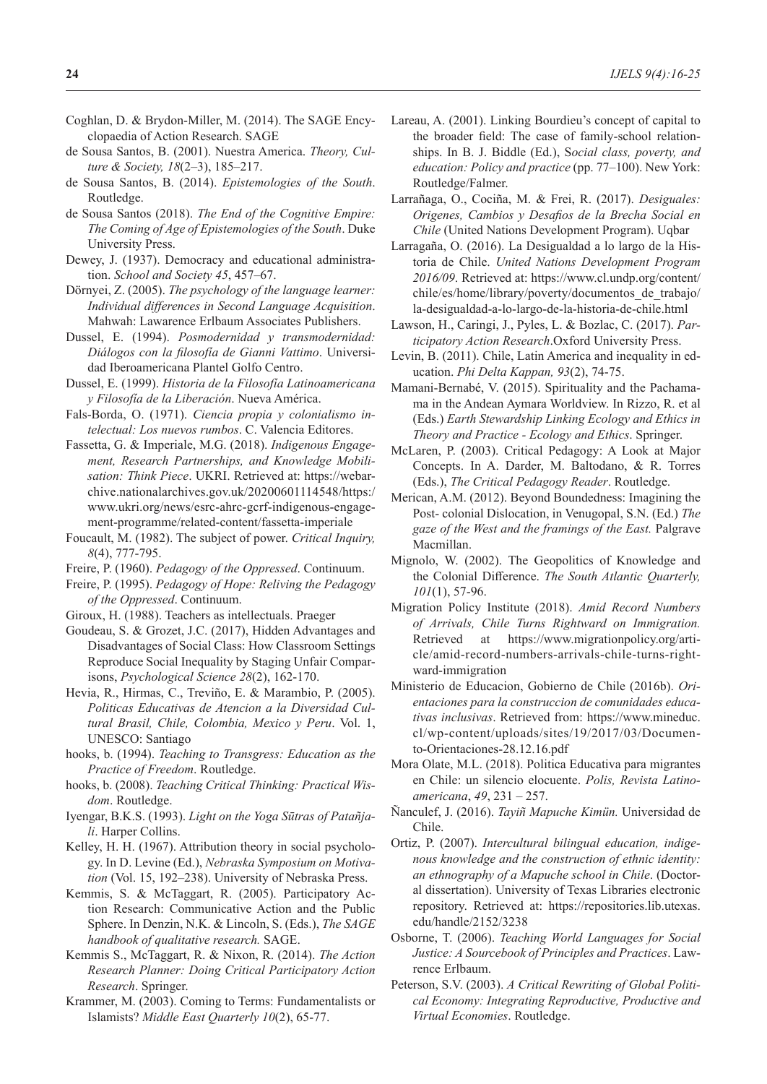- Coghlan, D. & Brydon-Miller, M. (2014). The SAGE Encyclopaedia of Action Research. SAGE
- de Sousa Santos, B. (2001). Nuestra America. *Theory, Culture & Society, 18*(2–3), 185–217.
- de Sousa Santos, B. (2014). *Epistemologies of the South*. Routledge.
- de Sousa Santos (2018). *The End of the Cognitive Empire: The Coming of Age of Epistemologies of the South*. Duke University Press.
- Dewey, J. (1937). Democracy and educational administration. *School and Society 45*, 457–67.
- Dörnyei, Z. (2005). *The psychology of the language learner: Individual differences in Second Language Acquisition*. Mahwah: Lawarence Erlbaum Associates Publishers.
- Dussel, E. (1994). *Posmodernidad y transmodernidad: Diálogos con la filosofía de Gianni Vattimo*. Universidad Iberoamericana Plantel Golfo Centro.
- Dussel, E. (1999). *Historia de la Filosofía Latinoamericana y Filosofía de la Liberación*. Nueva América.
- Fals-Borda, O. (1971). *Ciencia propia y colonialismo intelectual: Los nuevos rumbos*. C. Valencia Editores.
- Fassetta, G. & Imperiale, M.G. (2018). *Indigenous Engagement, Research Partnerships, and Knowledge Mobilisation: Think Piece*. UKRI. Retrieved at: https://webarchive.nationalarchives.gov.uk/20200601114548/https:/ www.ukri.org/news/esrc-ahrc-gcrf-indigenous-engagement-programme/related-content/fassetta-imperiale
- Foucault, M. (1982). The subject of power. *Critical Inquiry, 8*(4), 777-795.
- Freire, P. (1960). *Pedagogy of the Oppressed*. Continuum.
- Freire, P. (1995). *Pedagogy of Hope: Reliving the Pedagogy of the Oppressed*. Continuum.
- Giroux, H. (1988). Teachers as intellectuals. Praeger
- Goudeau, S. & Grozet, J.C. (2017), Hidden Advantages and Disadvantages of Social Class: How Classroom Settings Reproduce Social Inequality by Staging Unfair Comparisons, *Psychological Science 28*(2), 162-170.
- Hevia, R., Hirmas, C., Treviño, E. & Marambio, P. (2005). *Politicas Educativas de Atencion a la Diversidad Cultural Brasil, Chile, Colombia, Mexico y Peru*. Vol. 1, UNESCO: Santiago
- hooks, b. (1994). *Teaching to Transgress: Education as the Practice of Freedom*. Routledge.
- hooks, b. (2008). *Teaching Critical Thinking: Practical Wisdom*. Routledge.
- Iyengar, B.K.S. (1993). *Light on the Yoga Sūtras of Patañjali*. Harper Collins.
- Kelley, H. H. (1967). Attribution theory in social psychology. In D. Levine (Ed.), *Nebraska Symposium on Motivation* (Vol. 15, 192–238). University of Nebraska Press.
- Kemmis, S. & McTaggart, R. (2005). Participatory Action Research: Communicative Action and the Public Sphere. In Denzin, N.K. & Lincoln, S. (Eds.), *The SAGE handbook of qualitative research.* SAGE.
- Kemmis S., McTaggart, R. & Nixon, R. (2014). *The Action Research Planner: Doing Critical Participatory Action Research*. Springer.
- Krammer, M. (2003). Coming to Terms: Fundamentalists or Islamists? *Middle East Quarterly 10*(2), 65-77.
- Lareau, A. (2001). Linking Bourdieu's concept of capital to the broader field: The case of family-school relationships. In B. J. Biddle (Ed.), S*ocial class, poverty, and education: Policy and practice* (pp. 77–100). New York: Routledge/Falmer.
- Larrañaga, O., Cociña, M. & Frei, R. (2017). *Desiguales: Origenes, Cambios y Desafios de la Brecha Social en Chile* (United Nations Development Program). Uqbar
- Larragaña, O. (2016). La Desigualdad a lo largo de la Historia de Chile. *United Nations Development Program 2016/09*. Retrieved at: https://www.cl.undp.org/content/ chile/es/home/library/poverty/documentos\_de\_trabajo/ la-desigualdad-a-lo-largo-de-la-historia-de-chile.html
- Lawson, H., Caringi, J., Pyles, L. & Bozlac, C. (2017). *Participatory Action Research*.Oxford University Press.
- Levin, B. (2011). Chile, Latin America and inequality in education. *Phi Delta Kappan, 93*(2), 74-75.
- Mamani-Bernabé, V. (2015). Spirituality and the Pachamama in the Andean Aymara Worldview. In Rizzo, R. et al (Eds.) *Earth Stewardship Linking Ecology and Ethics in Theory and Practice - Ecology and Ethics*. Springer.
- McLaren, P. (2003). Critical Pedagogy: A Look at Major Concepts. In A. Darder, M. Baltodano, & R. Torres (Eds.), *The Critical Pedagogy Reader*. Routledge.
- Merican, A.M. (2012). Beyond Boundedness: Imagining the Post- colonial Dislocation, in Venugopal, S.N. (Ed.) *The gaze of the West and the framings of the East.* Palgrave Macmillan.
- Mignolo, W. (2002). The Geopolitics of Knowledge and the Colonial Difference. *The South Atlantic Quarterly, 101*(1), 57-96.
- Migration Policy Institute (2018). *Amid Record Numbers of Arrivals, Chile Turns Rightward on Immigration.*  Retrieved at https://www.migrationpolicy.org/article/amid-record-numbers-arrivals-chile-turns-rightward-immigration
- Ministerio de Educacion, Gobierno de Chile (2016b). *Orientaciones para la construccion de comunidades educativas inclusivas*. Retrieved from: https://www.mineduc. cl/wp-content/uploads/sites/19/2017/03/Documento-Orientaciones-28.12.16.pdf
- Mora Olate, M.L. (2018). Politica Educativa para migrantes en Chile: un silencio elocuente. *Polis, Revista Latinoamericana*, *49*, 231 – 257.
- Ñanculef, J. (2016). *Tayiñ Mapuche Kimün.* Universidad de Chile.
- Ortiz, P. (2007). *Intercultural bilingual education, indigenous knowledge and the construction of ethnic identity: an ethnography of a Mapuche school in Chile*. (Doctoral dissertation). University of Texas Libraries electronic repository. Retrieved at: https://repositories.lib.utexas. edu/handle/2152/3238
- Osborne, T. (2006). *Teaching World Languages for Social Justice: A Sourcebook of Principles and Practices*. Lawrence Erlbaum.
- Peterson, S.V. (2003). *A Critical Rewriting of Global Political Economy: Integrating Reproductive, Productive and Virtual Economies*. Routledge.